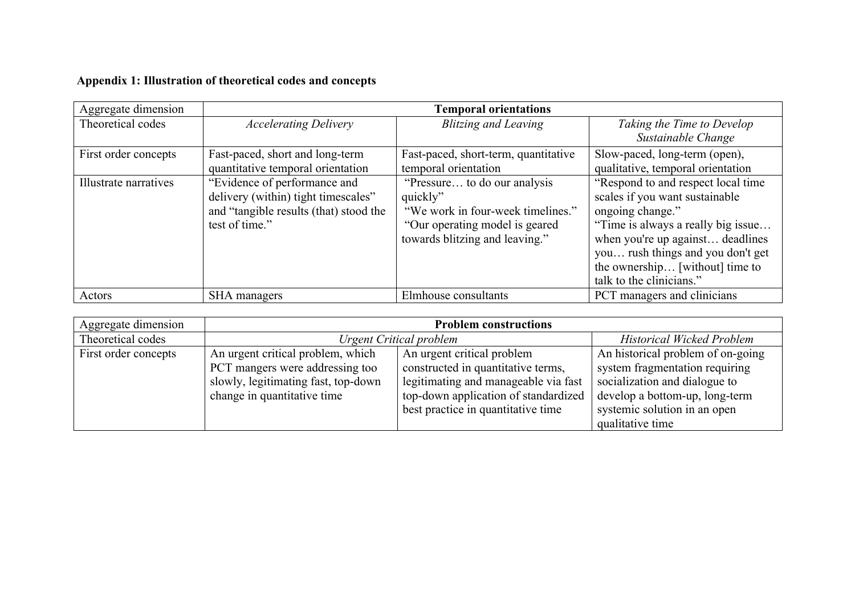## **Appendix 1: Illustration of theoretical codes and concepts**

| Aggregate dimension   |                                        | <b>Temporal orientations</b>         |                                     |
|-----------------------|----------------------------------------|--------------------------------------|-------------------------------------|
| Theoretical codes     | <b>Accelerating Delivery</b>           | <b>Blitzing and Leaving</b>          | Taking the Time to Develop          |
|                       |                                        |                                      | Sustainable Change                  |
| First order concepts  | Fast-paced, short and long-term        | Fast-paced, short-term, quantitative | Slow-paced, long-term (open),       |
|                       | quantitative temporal orientation      | temporal orientation                 | qualitative, temporal orientation   |
| Illustrate narratives | "Evidence of performance and           | "Pressure to do our analysis"        | "Respond to and respect local time" |
|                       | delivery (within) tight timescales"    | quickly"                             | scales if you want sustainable      |
|                       | and "tangible results (that) stood the | "We work in four-week timelines."    | ongoing change."                    |
|                       | test of time."                         | "Our operating model is geared"      | "Time is always a really big issue  |
|                       |                                        | towards blitzing and leaving."       | when you're up against deadlines    |
|                       |                                        |                                      | you rush things and you don't get   |
|                       |                                        |                                      | the ownership [without] time to     |
|                       |                                        |                                      | talk to the clinicians."            |
| Actors                | SHA managers                           | Elmhouse consultants                 | PCT managers and clinicians         |

| Aggregate dimension  | <b>Problem constructions</b>        |                                      |                                   |
|----------------------|-------------------------------------|--------------------------------------|-----------------------------------|
| Theoretical codes    | <b>Urgent Critical problem</b>      |                                      | <b>Historical Wicked Problem</b>  |
| First order concepts | An urgent critical problem, which   | An urgent critical problem           | An historical problem of on-going |
|                      | PCT mangers were addressing too     | constructed in quantitative terms,   | system fragmentation requiring    |
|                      | slowly, legitimating fast, top-down | legitimating and manageable via fast | socialization and dialogue to     |
|                      | change in quantitative time         | top-down application of standardized | develop a bottom-up, long-term    |
|                      |                                     | best practice in quantitative time   | systemic solution in an open      |
|                      |                                     |                                      | qualitative time                  |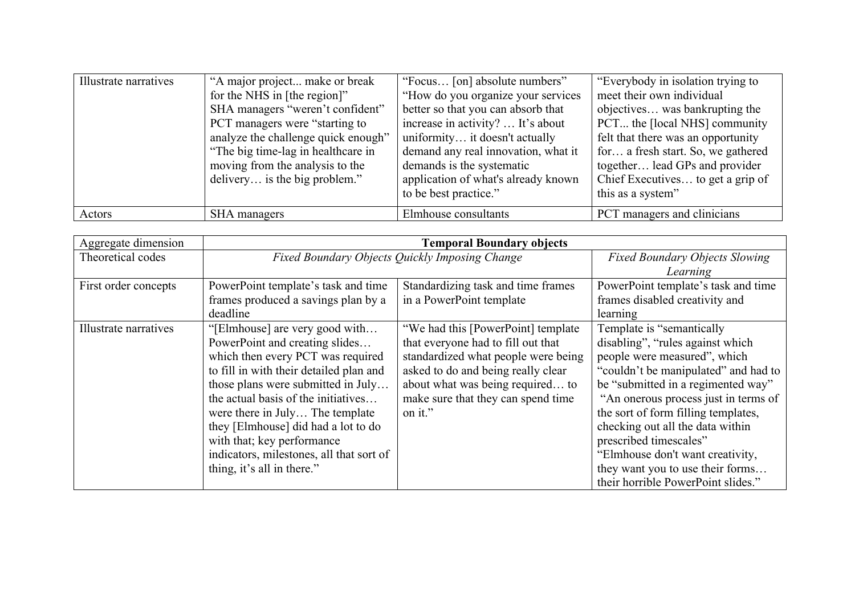| Illustrate narratives | "A major project make or break      | "Focus [on] absolute numbers"       | "Everybody in isolation trying to  |
|-----------------------|-------------------------------------|-------------------------------------|------------------------------------|
|                       | for the NHS in [the region]"        | "How do you organize your services" | meet their own individual          |
|                       | SHA managers "weren't confident"    | better so that you can absorb that  | objectives was bankrupting the     |
|                       | PCT managers were "starting to      | increase in activity?  It's about   | PCT the [local NHS] community      |
|                       | analyze the challenge quick enough" | uniformity it doesn't actually      | felt that there was an opportunity |
|                       | "The big time-lag in healthcare in  | demand any real innovation, what it | for a fresh start. So, we gathered |
|                       | moving from the analysis to the     | demands is the systematic           | together lead GPs and provider     |
|                       | delivery is the big problem."       | application of what's already known | Chief Executives to get a grip of  |
|                       |                                     | to be best practice."               | this as a system"                  |
| Actors                | SHA managers                        | Elmhouse consultants                | PCT managers and clinicians        |

| Aggregate dimension   | <b>Temporal Boundary objects</b>               |                                     |                                       |
|-----------------------|------------------------------------------------|-------------------------------------|---------------------------------------|
| Theoretical codes     | Fixed Boundary Objects Quickly Imposing Change |                                     | <b>Fixed Boundary Objects Slowing</b> |
|                       |                                                |                                     | Learning                              |
| First order concepts  | PowerPoint template's task and time            | Standardizing task and time frames  | PowerPoint template's task and time   |
|                       | frames produced a savings plan by a            | in a PowerPoint template            | frames disabled creativity and        |
|                       | deadline                                       |                                     | learning                              |
| Illustrate narratives | "[Elmhouse] are very good with                 | "We had this [PowerPoint] template  | Template is "semantically"            |
|                       | PowerPoint and creating slides                 | that everyone had to fill out that  | disabling", "rules against which      |
|                       | which then every PCT was required              | standardized what people were being | people were measured", which          |
|                       | to fill in with their detailed plan and        | asked to do and being really clear  | "couldn't be manipulated" and had to  |
|                       | those plans were submitted in July             | about what was being required to    | be "submitted in a regimented way"    |
|                       | the actual basis of the initiatives            | make sure that they can spend time  | "An onerous process just in terms of  |
|                       | were there in July The template                | on it."                             | the sort of form filling templates,   |
|                       | they [Elmhouse] did had a lot to do            |                                     | checking out all the data within      |
|                       | with that; key performance                     |                                     | prescribed timescales"                |
|                       | indicators, milestones, all that sort of       |                                     | "Elmhouse don't want creativity,      |
|                       | thing, it's all in there."                     |                                     | they want you to use their forms      |
|                       |                                                |                                     | their horrible PowerPoint slides."    |